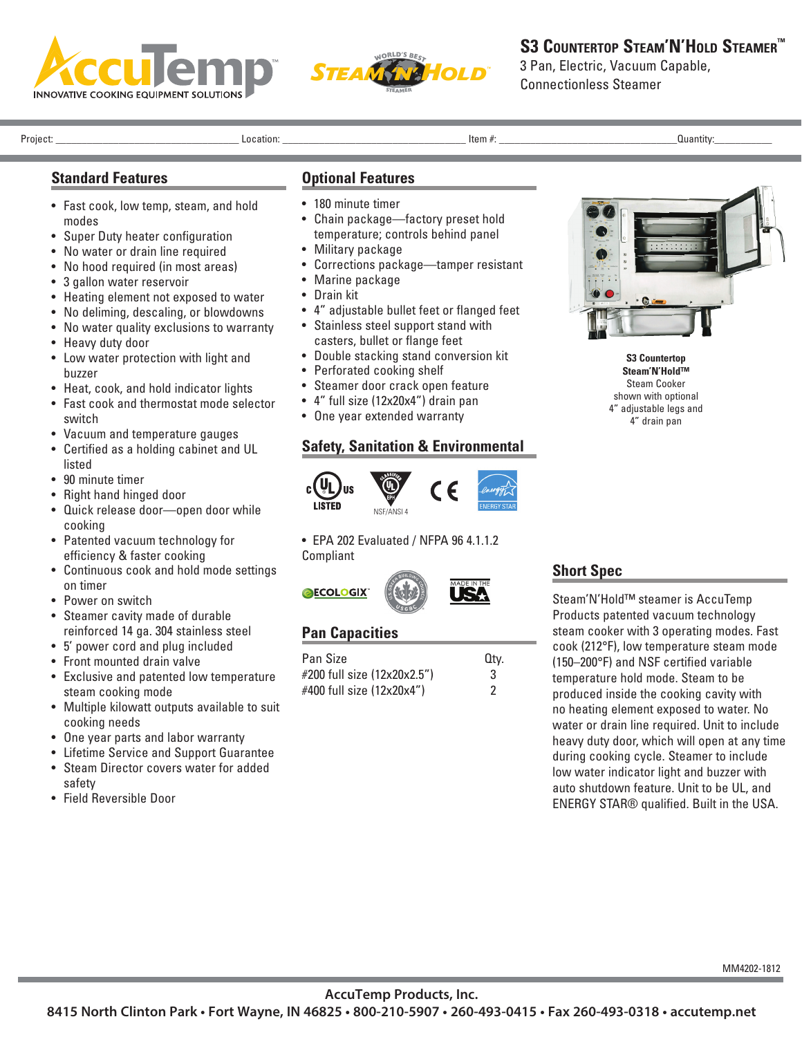



# **S3 COUNTERTOP STEAM'N'HOLD STEAMER™**

3 Pan, Electric, Vacuum Capable, Connectionless Steamer

Project: \_\_\_\_\_\_\_\_\_\_\_\_\_\_\_\_\_\_\_\_\_\_\_\_\_\_\_\_\_\_\_\_\_\_\_ Location: \_\_\_\_\_\_\_\_\_\_\_\_\_\_\_\_\_\_\_\_\_\_\_\_\_\_\_\_\_\_\_\_\_\_\_ Item #: \_\_\_\_\_\_\_\_\_\_\_\_\_\_\_\_\_\_\_\_\_\_\_\_\_\_\_\_\_\_\_\_\_\_Quantity:\_\_\_\_\_\_\_\_\_\_\_

#### **Standard Features**

- Fast cook, low temp, steam, and hold modes
- Super Duty heater configuration
- No water or drain line required
- No hood required (in most areas)
- 3 gallon water reservoir
- Heating element not exposed to water
- No deliming, descaling, or blowdowns
- No water quality exclusions to warranty
- Heavy duty door
- Low water protection with light and buzzer
- Heat, cook, and hold indicator lights
- Fast cook and thermostat mode selector switch
- Vacuum and temperature gauges
- Certified as a holding cabinet and UL listed
- 90 minute timer
- Right hand hinged door
- Quick release door—open door while cooking
- Patented vacuum technology for efficiency & faster cooking
- Continuous cook and hold mode settings on timer
- Power on switch
- Steamer cavity made of durable reinforced 14 ga. 304 stainless steel
- 5' power cord and plug included
- Front mounted drain valve
- Exclusive and patented low temperature steam cooking mode
- Multiple kilowatt outputs available to suit cooking needs
- One year parts and labor warranty
- Lifetime Service and Support Guarantee • Steam Director covers water for added
- safety
- Field Reversible Door

#### **Optional Features**

- 180 minute timer • Chain package—factory preset hold
- temperature; controls behind panel
- Military package
- Corrections package—tamper resistant
- Marine package
- Drain kit
- 4" adjustable bullet feet or flanged feet
- Stainless steel support stand with casters, bullet or flange feet
- Double stacking stand conversion kit
- Perforated cooking shelf
- Steamer door crack open feature
- 4" full size (12x20x4") drain pan
- One year extended warranty

# **Safety, Sanitation & Environmental**



• EPA 202 Evaluated / NFPA 96 4.1.1.2 Compliant



# **Pan Capacities**

| <b>Pan Size</b>             | Qtv. |
|-----------------------------|------|
| #200 full size (12x20x2.5") | 3    |
| #400 full size (12x20x4")   |      |



**S3 Countertop Steam'N'Hold™** Steam Cooker shown with optional 4" adjustable legs and 4" drain pan

# **Short Spec**

Steam'N'Hold™ steamer is AccuTemp Products patented vacuum technology steam cooker with 3 operating modes. Fast cook (212°F), low temperature steam mode (150–200°F) and NSF certified variable temperature hold mode. Steam to be produced inside the cooking cavity with no heating element exposed to water. No water or drain line required. Unit to include heavy duty door, which will open at any time during cooking cycle. Steamer to include low water indicator light and buzzer with auto shutdown feature. Unit to be UL, and ENERGY STAR® qualified. Built in the USA.